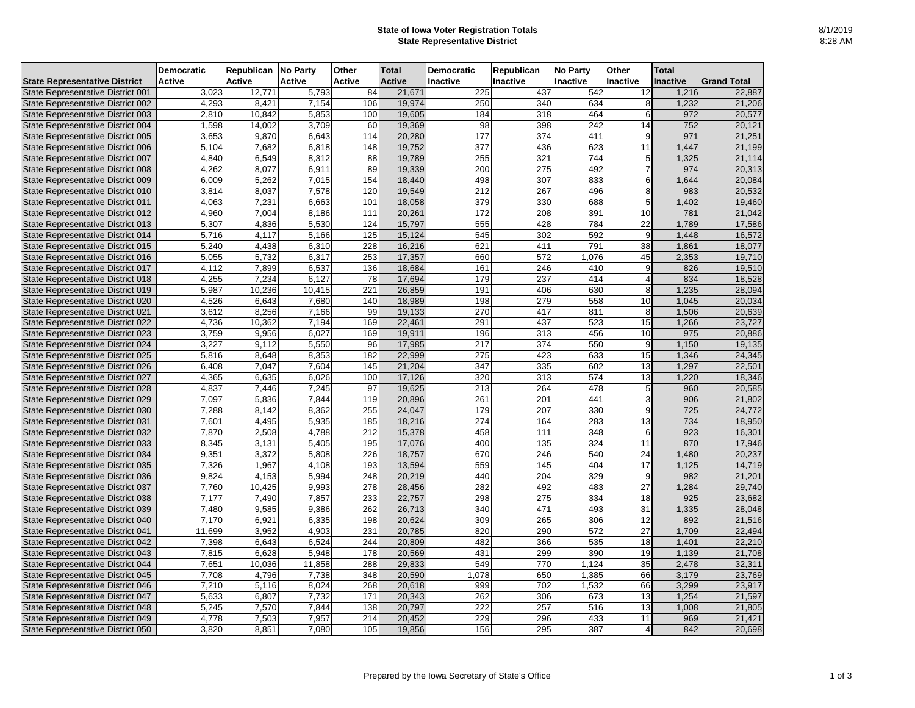## **State of Iowa Voter Registration Totals State Representative District**

| <b>Active</b><br><b>Active</b><br><b>Active</b><br><b>Active</b><br><b>Inactive</b><br><b>Active</b><br><b>Inactive</b><br><b>Inactive</b><br>Inactive<br>Inactive<br><b>Grand Total</b><br>3,023<br>225<br>12,771<br>5,793<br>84<br>21,671<br>437<br>542<br>12<br>1,216<br>22,887<br>7,154<br>106<br>19,974<br>634<br>4,293<br>8,421<br>250<br>340<br>1,232<br>21,206<br>8<br>$\overline{5,853}$<br>464<br>2,810<br>10,842<br>100<br>19,605<br>184<br>318<br>972<br>20,577<br>6<br>3,709<br>60<br>19,369<br>$\overline{242}$<br>752<br>1,598<br>14,002<br>98<br>398<br>State Representative District 004<br>14<br>20,121<br>20,280<br>177<br>374<br>411<br>971<br>State Representative District 005<br>3,653<br>6,643<br>114<br>21,251<br>9,870<br>9<br>19,752<br>377<br>623<br>5,104<br>7,682<br>6,818<br>148<br>436<br>11<br>1,447<br>21,199<br>State Representative District 006<br>744<br>8,312<br>4,840<br>88<br>19,789<br>255<br>321<br>1,325<br>21,114<br>State Representative District 007<br>6,549<br>5<br>6,911<br>89<br>275<br>492<br>State Representative District 008<br>4,262<br>8,077<br>19,339<br>200<br>974<br>20,313<br>833<br>State Representative District 009<br>6,009<br>5,262<br>7,015<br>154<br>18,440<br>498<br>307<br>1,644<br>20,084<br>6<br>120<br>$\overline{212}$<br>267<br>20,532<br>3,814<br>8,037<br>7,578<br>19,549<br>496<br>983<br>State Representative District 010<br>8<br>379<br>1,402<br>State Representative District 011<br>4,063<br>7,231<br>6,663<br>101<br>18,058<br>330<br>688<br>19,460<br>5<br>20,261<br>10<br>781<br>State Representative District 012<br>4,960<br>7,004<br>8,186<br>111<br>172<br>208<br>391<br>21,042<br>5,307<br>15,797<br>784<br>$\overline{22}$<br>5,530<br>124<br>555<br>428<br>1,789<br>17,586<br>State Representative District 013<br>4,836<br>5,716<br>5,166<br>125<br>15,124<br>545<br>302<br>592<br>9<br>16,572<br>State Representative District 014<br>1,448<br>4,117<br>5,240<br>6,310<br>228<br>16,216<br>621<br>791<br>38<br>State Representative District 015<br>4,438<br>411<br>1,861<br>18,077<br>253<br>5,055<br>5,732<br>6,317<br>17,357<br>660<br>572<br>1,076<br>45<br>2,353<br>State Representative District 016<br>19,710<br>6,537<br>136<br>18,684<br>161<br>4,112<br>7,899<br>246<br>410<br>9<br>826<br>19,510<br>State Representative District 017<br>6,127<br>78<br>17,694<br>179<br>237<br>414<br>834<br>18,528<br>4,255<br>7,234<br>State Representative District 018<br>$\overline{221}$<br>26,859<br>630<br>5,987<br>10,415<br>191<br>406<br>1,235<br>28,094<br>10,236<br>8<br>State Representative District 019<br>558<br>18,989<br>198<br>10<br>State Representative District 020<br>4,526<br>6,643<br>7,680<br>140<br>279<br>1,045<br>20,034<br>3,612<br>7,166<br>99<br>19,133<br>270<br>811<br>1,506<br>8,256<br>417<br>8 <sup>1</sup><br>20,639<br>State Representative District 021<br>169<br>22,461<br>291<br>523<br>State Representative District 022<br>4,736<br>10,362<br>7,194<br>437<br>15<br>1,266<br>23,727<br>3,759<br>19,911<br>456<br>10<br>975<br>State Representative District 023<br>9,956<br>6,027<br>169<br>196<br>313<br>20,886<br>3,227<br>217<br>374<br>550<br>1,150<br>19,135<br>State Representative District 024<br>9,112<br>5,550<br>96<br>17,985<br>9<br>22,999<br>State Representative District 025<br>5,816<br>8,648<br>8,353<br>182<br>275<br>423<br>633<br>15<br>1,346<br>24,345<br>21,204<br>347<br>13<br>7,047<br>7,604<br>145<br>335<br>602<br>1,297<br>22,501<br>State Representative District 026<br>6,408<br>4,365<br>17,126<br>574<br>13<br>State Representative District 027<br>6,635<br>6,026<br>100<br>320<br>313<br>1,220<br>18,346<br>97<br>19,625<br>4,837<br>7,446<br>7,245<br>213<br>264<br>478<br>960<br>20,585<br>State Representative District 028<br>5<br>20,896<br>441<br>906<br>7,097<br>5,836<br>7,844<br>119<br>261<br>201<br>21,802<br>State Representative District 029<br>3<br>8,362<br>255<br>24,047<br>207<br>330<br>725<br>State Representative District 030<br>7,288<br>8,142<br>179<br>24,772<br>9<br>283<br>734<br>7,601<br>4,495<br>5,935<br>185<br>18,216<br>274<br>164<br>13<br>State Representative District 031<br>18,950<br>$\overline{212}$<br>348<br>923<br>16,301<br>7,870<br>2,508<br>4,788<br>15,378<br>458<br>111<br>State Representative District 032<br>6<br>5,405<br>195<br>17,076<br>324<br>870<br>17,946<br>State Representative District 033<br>8,345<br>3,131<br>400<br>135<br>11<br>9,351<br>226<br>18,757<br>670<br>246<br>540<br>24<br>20,237<br>3,372<br>5,808<br>1,480<br>State Representative District 034<br>$\overline{145}$<br>7,326<br>1,967<br>559<br>404<br>$\overline{17}$<br>4,108<br>193<br>13,594<br>1,125<br>14,719<br>State Representative District 035<br>9,824<br>4,153<br>5,994<br>248<br>20,219<br>440<br>204<br>329<br>9<br>982<br>21,201<br>State Representative District 036<br>28,456<br>27<br>7,760<br>9,993<br>278<br>282<br>492<br>483<br>1,284<br>29,740<br>State Representative District 037<br>10,425<br>233<br>22,757<br>925<br>7,177<br>7,857<br>298<br>275<br>334<br>18<br>23,682<br>State Representative District 038<br>7,490<br>262<br>26,713<br>31<br>7,480<br>9,386<br>340<br>471<br>493<br>1,335<br>State Representative District 039<br>9,585<br>28,048<br>7,170<br>20,624<br>306<br>12<br>6,921<br>6,335<br>198<br>309<br>265<br>892<br>21,516<br>State Representative District 040<br>4,903<br>231<br>20,785<br>290<br>572<br>27<br>State Representative District 041<br>11,699<br>3,952<br>820<br>1,709<br>22,494<br>7,398<br>6,524<br>20,809<br>482<br>366<br>535<br>18<br>6,643<br>244<br>1,401<br>State Representative District 042<br>22,210<br>5,948<br>20,569<br>299<br>390<br>19<br>7,815<br>6,628<br>178<br>431<br>1,139<br>State Representative District 043<br>21,708<br>35<br>7,651<br>288<br>29,833<br>549<br>770<br>1,124<br>11,858<br>2,478<br>32,311<br>State Representative District 044<br>10,036<br>66<br>348<br>1,078<br>7,708<br>7,738<br>20,590<br>650<br>1,385<br>3,179<br>23,769<br>State Representative District 045<br>4,796<br>7,210<br>268<br>20,618<br>66<br>5,116<br>8,024<br>999<br>702<br>1,532<br>3,299<br>State Representative District 046<br>23,917<br>7,732<br>171<br>20,343<br>262<br>673<br>13<br>State Representative District 047<br>5,633<br>6,807<br>306<br>1,254<br>21,597<br>20,797<br>13<br>5,245<br>7,570<br>7,844<br>138<br>222<br>257<br>516<br>1,008<br>21,805<br>State Representative District 048<br>4,778<br>7,957<br>214<br>20,452<br>229<br>11<br>State Representative District 049<br>7,503<br>296<br>433<br>969<br>21,421<br>295 |                                      | <b>Democratic</b> | <b>Republican</b> | No Party | <b>Other</b> | <b>Total</b> | <b>Democratic</b> | Republican | No Party | <b>Other</b> | <b>Total</b> |        |
|------------------------------------------------------------------------------------------------------------------------------------------------------------------------------------------------------------------------------------------------------------------------------------------------------------------------------------------------------------------------------------------------------------------------------------------------------------------------------------------------------------------------------------------------------------------------------------------------------------------------------------------------------------------------------------------------------------------------------------------------------------------------------------------------------------------------------------------------------------------------------------------------------------------------------------------------------------------------------------------------------------------------------------------------------------------------------------------------------------------------------------------------------------------------------------------------------------------------------------------------------------------------------------------------------------------------------------------------------------------------------------------------------------------------------------------------------------------------------------------------------------------------------------------------------------------------------------------------------------------------------------------------------------------------------------------------------------------------------------------------------------------------------------------------------------------------------------------------------------------------------------------------------------------------------------------------------------------------------------------------------------------------------------------------------------------------------------------------------------------------------------------------------------------------------------------------------------------------------------------------------------------------------------------------------------------------------------------------------------------------------------------------------------------------------------------------------------------------------------------------------------------------------------------------------------------------------------------------------------------------------------------------------------------------------------------------------------------------------------------------------------------------------------------------------------------------------------------------------------------------------------------------------------------------------------------------------------------------------------------------------------------------------------------------------------------------------------------------------------------------------------------------------------------------------------------------------------------------------------------------------------------------------------------------------------------------------------------------------------------------------------------------------------------------------------------------------------------------------------------------------------------------------------------------------------------------------------------------------------------------------------------------------------------------------------------------------------------------------------------------------------------------------------------------------------------------------------------------------------------------------------------------------------------------------------------------------------------------------------------------------------------------------------------------------------------------------------------------------------------------------------------------------------------------------------------------------------------------------------------------------------------------------------------------------------------------------------------------------------------------------------------------------------------------------------------------------------------------------------------------------------------------------------------------------------------------------------------------------------------------------------------------------------------------------------------------------------------------------------------------------------------------------------------------------------------------------------------------------------------------------------------------------------------------------------------------------------------------------------------------------------------------------------------------------------------------------------------------------------------------------------------------------------------------------------------------------------------------------------------------------------------------------------------------------------------------------------------------------------------------------------------------------------------------------------------------------------------------------------------------------------------------------------------------------------------------------------------------------------------------------------------------------------------------------------------------------------------------------------------------------------------------------------------------------------------------------------------------------------------------------------------------------------------------------------------------------------------------------------------------------------------------------------------------------------------------------------------------------------------------------------------------------------------------------------------------------------------------------------------------------------------------------------------------------------------------------------------------------------------------------------------------------------------------------------------------------------------------------------------------------------------------------------------------------------------------------------------------------------------------------|--------------------------------------|-------------------|-------------------|----------|--------------|--------------|-------------------|------------|----------|--------------|--------------|--------|
|                                                                                                                                                                                                                                                                                                                                                                                                                                                                                                                                                                                                                                                                                                                                                                                                                                                                                                                                                                                                                                                                                                                                                                                                                                                                                                                                                                                                                                                                                                                                                                                                                                                                                                                                                                                                                                                                                                                                                                                                                                                                                                                                                                                                                                                                                                                                                                                                                                                                                                                                                                                                                                                                                                                                                                                                                                                                                                                                                                                                                                                                                                                                                                                                                                                                                                                                                                                                                                                                                                                                                                                                                                                                                                                                                                                                                                                                                                                                                                                                                                                                                                                                                                                                                                                                                                                                                                                                                                                                                                                                                                                                                                                                                                                                                                                                                                                                                                                                                                                                                                                                                                                                                                                                                                                                                                                                                                                                                                                                                                                                                                                                                                                                                                                                                                                                                                                                                                                                                                                                                                                                                                                                                                                                                                                                                                                                                                                                                                                                                                                                                                                                                              | <b>State Representative District</b> |                   |                   |          |              |              |                   |            |          |              |              |        |
|                                                                                                                                                                                                                                                                                                                                                                                                                                                                                                                                                                                                                                                                                                                                                                                                                                                                                                                                                                                                                                                                                                                                                                                                                                                                                                                                                                                                                                                                                                                                                                                                                                                                                                                                                                                                                                                                                                                                                                                                                                                                                                                                                                                                                                                                                                                                                                                                                                                                                                                                                                                                                                                                                                                                                                                                                                                                                                                                                                                                                                                                                                                                                                                                                                                                                                                                                                                                                                                                                                                                                                                                                                                                                                                                                                                                                                                                                                                                                                                                                                                                                                                                                                                                                                                                                                                                                                                                                                                                                                                                                                                                                                                                                                                                                                                                                                                                                                                                                                                                                                                                                                                                                                                                                                                                                                                                                                                                                                                                                                                                                                                                                                                                                                                                                                                                                                                                                                                                                                                                                                                                                                                                                                                                                                                                                                                                                                                                                                                                                                                                                                                                                              | State Representative District 001    |                   |                   |          |              |              |                   |            |          |              |              |        |
|                                                                                                                                                                                                                                                                                                                                                                                                                                                                                                                                                                                                                                                                                                                                                                                                                                                                                                                                                                                                                                                                                                                                                                                                                                                                                                                                                                                                                                                                                                                                                                                                                                                                                                                                                                                                                                                                                                                                                                                                                                                                                                                                                                                                                                                                                                                                                                                                                                                                                                                                                                                                                                                                                                                                                                                                                                                                                                                                                                                                                                                                                                                                                                                                                                                                                                                                                                                                                                                                                                                                                                                                                                                                                                                                                                                                                                                                                                                                                                                                                                                                                                                                                                                                                                                                                                                                                                                                                                                                                                                                                                                                                                                                                                                                                                                                                                                                                                                                                                                                                                                                                                                                                                                                                                                                                                                                                                                                                                                                                                                                                                                                                                                                                                                                                                                                                                                                                                                                                                                                                                                                                                                                                                                                                                                                                                                                                                                                                                                                                                                                                                                                                              | State Representative District 002    |                   |                   |          |              |              |                   |            |          |              |              |        |
|                                                                                                                                                                                                                                                                                                                                                                                                                                                                                                                                                                                                                                                                                                                                                                                                                                                                                                                                                                                                                                                                                                                                                                                                                                                                                                                                                                                                                                                                                                                                                                                                                                                                                                                                                                                                                                                                                                                                                                                                                                                                                                                                                                                                                                                                                                                                                                                                                                                                                                                                                                                                                                                                                                                                                                                                                                                                                                                                                                                                                                                                                                                                                                                                                                                                                                                                                                                                                                                                                                                                                                                                                                                                                                                                                                                                                                                                                                                                                                                                                                                                                                                                                                                                                                                                                                                                                                                                                                                                                                                                                                                                                                                                                                                                                                                                                                                                                                                                                                                                                                                                                                                                                                                                                                                                                                                                                                                                                                                                                                                                                                                                                                                                                                                                                                                                                                                                                                                                                                                                                                                                                                                                                                                                                                                                                                                                                                                                                                                                                                                                                                                                                              | State Representative District 003    |                   |                   |          |              |              |                   |            |          |              |              |        |
|                                                                                                                                                                                                                                                                                                                                                                                                                                                                                                                                                                                                                                                                                                                                                                                                                                                                                                                                                                                                                                                                                                                                                                                                                                                                                                                                                                                                                                                                                                                                                                                                                                                                                                                                                                                                                                                                                                                                                                                                                                                                                                                                                                                                                                                                                                                                                                                                                                                                                                                                                                                                                                                                                                                                                                                                                                                                                                                                                                                                                                                                                                                                                                                                                                                                                                                                                                                                                                                                                                                                                                                                                                                                                                                                                                                                                                                                                                                                                                                                                                                                                                                                                                                                                                                                                                                                                                                                                                                                                                                                                                                                                                                                                                                                                                                                                                                                                                                                                                                                                                                                                                                                                                                                                                                                                                                                                                                                                                                                                                                                                                                                                                                                                                                                                                                                                                                                                                                                                                                                                                                                                                                                                                                                                                                                                                                                                                                                                                                                                                                                                                                                                              |                                      |                   |                   |          |              |              |                   |            |          |              |              |        |
|                                                                                                                                                                                                                                                                                                                                                                                                                                                                                                                                                                                                                                                                                                                                                                                                                                                                                                                                                                                                                                                                                                                                                                                                                                                                                                                                                                                                                                                                                                                                                                                                                                                                                                                                                                                                                                                                                                                                                                                                                                                                                                                                                                                                                                                                                                                                                                                                                                                                                                                                                                                                                                                                                                                                                                                                                                                                                                                                                                                                                                                                                                                                                                                                                                                                                                                                                                                                                                                                                                                                                                                                                                                                                                                                                                                                                                                                                                                                                                                                                                                                                                                                                                                                                                                                                                                                                                                                                                                                                                                                                                                                                                                                                                                                                                                                                                                                                                                                                                                                                                                                                                                                                                                                                                                                                                                                                                                                                                                                                                                                                                                                                                                                                                                                                                                                                                                                                                                                                                                                                                                                                                                                                                                                                                                                                                                                                                                                                                                                                                                                                                                                                              |                                      |                   |                   |          |              |              |                   |            |          |              |              |        |
|                                                                                                                                                                                                                                                                                                                                                                                                                                                                                                                                                                                                                                                                                                                                                                                                                                                                                                                                                                                                                                                                                                                                                                                                                                                                                                                                                                                                                                                                                                                                                                                                                                                                                                                                                                                                                                                                                                                                                                                                                                                                                                                                                                                                                                                                                                                                                                                                                                                                                                                                                                                                                                                                                                                                                                                                                                                                                                                                                                                                                                                                                                                                                                                                                                                                                                                                                                                                                                                                                                                                                                                                                                                                                                                                                                                                                                                                                                                                                                                                                                                                                                                                                                                                                                                                                                                                                                                                                                                                                                                                                                                                                                                                                                                                                                                                                                                                                                                                                                                                                                                                                                                                                                                                                                                                                                                                                                                                                                                                                                                                                                                                                                                                                                                                                                                                                                                                                                                                                                                                                                                                                                                                                                                                                                                                                                                                                                                                                                                                                                                                                                                                                              |                                      |                   |                   |          |              |              |                   |            |          |              |              |        |
|                                                                                                                                                                                                                                                                                                                                                                                                                                                                                                                                                                                                                                                                                                                                                                                                                                                                                                                                                                                                                                                                                                                                                                                                                                                                                                                                                                                                                                                                                                                                                                                                                                                                                                                                                                                                                                                                                                                                                                                                                                                                                                                                                                                                                                                                                                                                                                                                                                                                                                                                                                                                                                                                                                                                                                                                                                                                                                                                                                                                                                                                                                                                                                                                                                                                                                                                                                                                                                                                                                                                                                                                                                                                                                                                                                                                                                                                                                                                                                                                                                                                                                                                                                                                                                                                                                                                                                                                                                                                                                                                                                                                                                                                                                                                                                                                                                                                                                                                                                                                                                                                                                                                                                                                                                                                                                                                                                                                                                                                                                                                                                                                                                                                                                                                                                                                                                                                                                                                                                                                                                                                                                                                                                                                                                                                                                                                                                                                                                                                                                                                                                                                                              |                                      |                   |                   |          |              |              |                   |            |          |              |              |        |
|                                                                                                                                                                                                                                                                                                                                                                                                                                                                                                                                                                                                                                                                                                                                                                                                                                                                                                                                                                                                                                                                                                                                                                                                                                                                                                                                                                                                                                                                                                                                                                                                                                                                                                                                                                                                                                                                                                                                                                                                                                                                                                                                                                                                                                                                                                                                                                                                                                                                                                                                                                                                                                                                                                                                                                                                                                                                                                                                                                                                                                                                                                                                                                                                                                                                                                                                                                                                                                                                                                                                                                                                                                                                                                                                                                                                                                                                                                                                                                                                                                                                                                                                                                                                                                                                                                                                                                                                                                                                                                                                                                                                                                                                                                                                                                                                                                                                                                                                                                                                                                                                                                                                                                                                                                                                                                                                                                                                                                                                                                                                                                                                                                                                                                                                                                                                                                                                                                                                                                                                                                                                                                                                                                                                                                                                                                                                                                                                                                                                                                                                                                                                                              |                                      |                   |                   |          |              |              |                   |            |          |              |              |        |
|                                                                                                                                                                                                                                                                                                                                                                                                                                                                                                                                                                                                                                                                                                                                                                                                                                                                                                                                                                                                                                                                                                                                                                                                                                                                                                                                                                                                                                                                                                                                                                                                                                                                                                                                                                                                                                                                                                                                                                                                                                                                                                                                                                                                                                                                                                                                                                                                                                                                                                                                                                                                                                                                                                                                                                                                                                                                                                                                                                                                                                                                                                                                                                                                                                                                                                                                                                                                                                                                                                                                                                                                                                                                                                                                                                                                                                                                                                                                                                                                                                                                                                                                                                                                                                                                                                                                                                                                                                                                                                                                                                                                                                                                                                                                                                                                                                                                                                                                                                                                                                                                                                                                                                                                                                                                                                                                                                                                                                                                                                                                                                                                                                                                                                                                                                                                                                                                                                                                                                                                                                                                                                                                                                                                                                                                                                                                                                                                                                                                                                                                                                                                                              |                                      |                   |                   |          |              |              |                   |            |          |              |              |        |
|                                                                                                                                                                                                                                                                                                                                                                                                                                                                                                                                                                                                                                                                                                                                                                                                                                                                                                                                                                                                                                                                                                                                                                                                                                                                                                                                                                                                                                                                                                                                                                                                                                                                                                                                                                                                                                                                                                                                                                                                                                                                                                                                                                                                                                                                                                                                                                                                                                                                                                                                                                                                                                                                                                                                                                                                                                                                                                                                                                                                                                                                                                                                                                                                                                                                                                                                                                                                                                                                                                                                                                                                                                                                                                                                                                                                                                                                                                                                                                                                                                                                                                                                                                                                                                                                                                                                                                                                                                                                                                                                                                                                                                                                                                                                                                                                                                                                                                                                                                                                                                                                                                                                                                                                                                                                                                                                                                                                                                                                                                                                                                                                                                                                                                                                                                                                                                                                                                                                                                                                                                                                                                                                                                                                                                                                                                                                                                                                                                                                                                                                                                                                                              |                                      |                   |                   |          |              |              |                   |            |          |              |              |        |
|                                                                                                                                                                                                                                                                                                                                                                                                                                                                                                                                                                                                                                                                                                                                                                                                                                                                                                                                                                                                                                                                                                                                                                                                                                                                                                                                                                                                                                                                                                                                                                                                                                                                                                                                                                                                                                                                                                                                                                                                                                                                                                                                                                                                                                                                                                                                                                                                                                                                                                                                                                                                                                                                                                                                                                                                                                                                                                                                                                                                                                                                                                                                                                                                                                                                                                                                                                                                                                                                                                                                                                                                                                                                                                                                                                                                                                                                                                                                                                                                                                                                                                                                                                                                                                                                                                                                                                                                                                                                                                                                                                                                                                                                                                                                                                                                                                                                                                                                                                                                                                                                                                                                                                                                                                                                                                                                                                                                                                                                                                                                                                                                                                                                                                                                                                                                                                                                                                                                                                                                                                                                                                                                                                                                                                                                                                                                                                                                                                                                                                                                                                                                                              |                                      |                   |                   |          |              |              |                   |            |          |              |              |        |
|                                                                                                                                                                                                                                                                                                                                                                                                                                                                                                                                                                                                                                                                                                                                                                                                                                                                                                                                                                                                                                                                                                                                                                                                                                                                                                                                                                                                                                                                                                                                                                                                                                                                                                                                                                                                                                                                                                                                                                                                                                                                                                                                                                                                                                                                                                                                                                                                                                                                                                                                                                                                                                                                                                                                                                                                                                                                                                                                                                                                                                                                                                                                                                                                                                                                                                                                                                                                                                                                                                                                                                                                                                                                                                                                                                                                                                                                                                                                                                                                                                                                                                                                                                                                                                                                                                                                                                                                                                                                                                                                                                                                                                                                                                                                                                                                                                                                                                                                                                                                                                                                                                                                                                                                                                                                                                                                                                                                                                                                                                                                                                                                                                                                                                                                                                                                                                                                                                                                                                                                                                                                                                                                                                                                                                                                                                                                                                                                                                                                                                                                                                                                                              |                                      |                   |                   |          |              |              |                   |            |          |              |              |        |
|                                                                                                                                                                                                                                                                                                                                                                                                                                                                                                                                                                                                                                                                                                                                                                                                                                                                                                                                                                                                                                                                                                                                                                                                                                                                                                                                                                                                                                                                                                                                                                                                                                                                                                                                                                                                                                                                                                                                                                                                                                                                                                                                                                                                                                                                                                                                                                                                                                                                                                                                                                                                                                                                                                                                                                                                                                                                                                                                                                                                                                                                                                                                                                                                                                                                                                                                                                                                                                                                                                                                                                                                                                                                                                                                                                                                                                                                                                                                                                                                                                                                                                                                                                                                                                                                                                                                                                                                                                                                                                                                                                                                                                                                                                                                                                                                                                                                                                                                                                                                                                                                                                                                                                                                                                                                                                                                                                                                                                                                                                                                                                                                                                                                                                                                                                                                                                                                                                                                                                                                                                                                                                                                                                                                                                                                                                                                                                                                                                                                                                                                                                                                                              |                                      |                   |                   |          |              |              |                   |            |          |              |              |        |
|                                                                                                                                                                                                                                                                                                                                                                                                                                                                                                                                                                                                                                                                                                                                                                                                                                                                                                                                                                                                                                                                                                                                                                                                                                                                                                                                                                                                                                                                                                                                                                                                                                                                                                                                                                                                                                                                                                                                                                                                                                                                                                                                                                                                                                                                                                                                                                                                                                                                                                                                                                                                                                                                                                                                                                                                                                                                                                                                                                                                                                                                                                                                                                                                                                                                                                                                                                                                                                                                                                                                                                                                                                                                                                                                                                                                                                                                                                                                                                                                                                                                                                                                                                                                                                                                                                                                                                                                                                                                                                                                                                                                                                                                                                                                                                                                                                                                                                                                                                                                                                                                                                                                                                                                                                                                                                                                                                                                                                                                                                                                                                                                                                                                                                                                                                                                                                                                                                                                                                                                                                                                                                                                                                                                                                                                                                                                                                                                                                                                                                                                                                                                                              |                                      |                   |                   |          |              |              |                   |            |          |              |              |        |
|                                                                                                                                                                                                                                                                                                                                                                                                                                                                                                                                                                                                                                                                                                                                                                                                                                                                                                                                                                                                                                                                                                                                                                                                                                                                                                                                                                                                                                                                                                                                                                                                                                                                                                                                                                                                                                                                                                                                                                                                                                                                                                                                                                                                                                                                                                                                                                                                                                                                                                                                                                                                                                                                                                                                                                                                                                                                                                                                                                                                                                                                                                                                                                                                                                                                                                                                                                                                                                                                                                                                                                                                                                                                                                                                                                                                                                                                                                                                                                                                                                                                                                                                                                                                                                                                                                                                                                                                                                                                                                                                                                                                                                                                                                                                                                                                                                                                                                                                                                                                                                                                                                                                                                                                                                                                                                                                                                                                                                                                                                                                                                                                                                                                                                                                                                                                                                                                                                                                                                                                                                                                                                                                                                                                                                                                                                                                                                                                                                                                                                                                                                                                                              |                                      |                   |                   |          |              |              |                   |            |          |              |              |        |
|                                                                                                                                                                                                                                                                                                                                                                                                                                                                                                                                                                                                                                                                                                                                                                                                                                                                                                                                                                                                                                                                                                                                                                                                                                                                                                                                                                                                                                                                                                                                                                                                                                                                                                                                                                                                                                                                                                                                                                                                                                                                                                                                                                                                                                                                                                                                                                                                                                                                                                                                                                                                                                                                                                                                                                                                                                                                                                                                                                                                                                                                                                                                                                                                                                                                                                                                                                                                                                                                                                                                                                                                                                                                                                                                                                                                                                                                                                                                                                                                                                                                                                                                                                                                                                                                                                                                                                                                                                                                                                                                                                                                                                                                                                                                                                                                                                                                                                                                                                                                                                                                                                                                                                                                                                                                                                                                                                                                                                                                                                                                                                                                                                                                                                                                                                                                                                                                                                                                                                                                                                                                                                                                                                                                                                                                                                                                                                                                                                                                                                                                                                                                                              |                                      |                   |                   |          |              |              |                   |            |          |              |              |        |
|                                                                                                                                                                                                                                                                                                                                                                                                                                                                                                                                                                                                                                                                                                                                                                                                                                                                                                                                                                                                                                                                                                                                                                                                                                                                                                                                                                                                                                                                                                                                                                                                                                                                                                                                                                                                                                                                                                                                                                                                                                                                                                                                                                                                                                                                                                                                                                                                                                                                                                                                                                                                                                                                                                                                                                                                                                                                                                                                                                                                                                                                                                                                                                                                                                                                                                                                                                                                                                                                                                                                                                                                                                                                                                                                                                                                                                                                                                                                                                                                                                                                                                                                                                                                                                                                                                                                                                                                                                                                                                                                                                                                                                                                                                                                                                                                                                                                                                                                                                                                                                                                                                                                                                                                                                                                                                                                                                                                                                                                                                                                                                                                                                                                                                                                                                                                                                                                                                                                                                                                                                                                                                                                                                                                                                                                                                                                                                                                                                                                                                                                                                                                                              |                                      |                   |                   |          |              |              |                   |            |          |              |              |        |
|                                                                                                                                                                                                                                                                                                                                                                                                                                                                                                                                                                                                                                                                                                                                                                                                                                                                                                                                                                                                                                                                                                                                                                                                                                                                                                                                                                                                                                                                                                                                                                                                                                                                                                                                                                                                                                                                                                                                                                                                                                                                                                                                                                                                                                                                                                                                                                                                                                                                                                                                                                                                                                                                                                                                                                                                                                                                                                                                                                                                                                                                                                                                                                                                                                                                                                                                                                                                                                                                                                                                                                                                                                                                                                                                                                                                                                                                                                                                                                                                                                                                                                                                                                                                                                                                                                                                                                                                                                                                                                                                                                                                                                                                                                                                                                                                                                                                                                                                                                                                                                                                                                                                                                                                                                                                                                                                                                                                                                                                                                                                                                                                                                                                                                                                                                                                                                                                                                                                                                                                                                                                                                                                                                                                                                                                                                                                                                                                                                                                                                                                                                                                                              |                                      |                   |                   |          |              |              |                   |            |          |              |              |        |
|                                                                                                                                                                                                                                                                                                                                                                                                                                                                                                                                                                                                                                                                                                                                                                                                                                                                                                                                                                                                                                                                                                                                                                                                                                                                                                                                                                                                                                                                                                                                                                                                                                                                                                                                                                                                                                                                                                                                                                                                                                                                                                                                                                                                                                                                                                                                                                                                                                                                                                                                                                                                                                                                                                                                                                                                                                                                                                                                                                                                                                                                                                                                                                                                                                                                                                                                                                                                                                                                                                                                                                                                                                                                                                                                                                                                                                                                                                                                                                                                                                                                                                                                                                                                                                                                                                                                                                                                                                                                                                                                                                                                                                                                                                                                                                                                                                                                                                                                                                                                                                                                                                                                                                                                                                                                                                                                                                                                                                                                                                                                                                                                                                                                                                                                                                                                                                                                                                                                                                                                                                                                                                                                                                                                                                                                                                                                                                                                                                                                                                                                                                                                                              |                                      |                   |                   |          |              |              |                   |            |          |              |              |        |
|                                                                                                                                                                                                                                                                                                                                                                                                                                                                                                                                                                                                                                                                                                                                                                                                                                                                                                                                                                                                                                                                                                                                                                                                                                                                                                                                                                                                                                                                                                                                                                                                                                                                                                                                                                                                                                                                                                                                                                                                                                                                                                                                                                                                                                                                                                                                                                                                                                                                                                                                                                                                                                                                                                                                                                                                                                                                                                                                                                                                                                                                                                                                                                                                                                                                                                                                                                                                                                                                                                                                                                                                                                                                                                                                                                                                                                                                                                                                                                                                                                                                                                                                                                                                                                                                                                                                                                                                                                                                                                                                                                                                                                                                                                                                                                                                                                                                                                                                                                                                                                                                                                                                                                                                                                                                                                                                                                                                                                                                                                                                                                                                                                                                                                                                                                                                                                                                                                                                                                                                                                                                                                                                                                                                                                                                                                                                                                                                                                                                                                                                                                                                                              |                                      |                   |                   |          |              |              |                   |            |          |              |              |        |
|                                                                                                                                                                                                                                                                                                                                                                                                                                                                                                                                                                                                                                                                                                                                                                                                                                                                                                                                                                                                                                                                                                                                                                                                                                                                                                                                                                                                                                                                                                                                                                                                                                                                                                                                                                                                                                                                                                                                                                                                                                                                                                                                                                                                                                                                                                                                                                                                                                                                                                                                                                                                                                                                                                                                                                                                                                                                                                                                                                                                                                                                                                                                                                                                                                                                                                                                                                                                                                                                                                                                                                                                                                                                                                                                                                                                                                                                                                                                                                                                                                                                                                                                                                                                                                                                                                                                                                                                                                                                                                                                                                                                                                                                                                                                                                                                                                                                                                                                                                                                                                                                                                                                                                                                                                                                                                                                                                                                                                                                                                                                                                                                                                                                                                                                                                                                                                                                                                                                                                                                                                                                                                                                                                                                                                                                                                                                                                                                                                                                                                                                                                                                                              |                                      |                   |                   |          |              |              |                   |            |          |              |              |        |
|                                                                                                                                                                                                                                                                                                                                                                                                                                                                                                                                                                                                                                                                                                                                                                                                                                                                                                                                                                                                                                                                                                                                                                                                                                                                                                                                                                                                                                                                                                                                                                                                                                                                                                                                                                                                                                                                                                                                                                                                                                                                                                                                                                                                                                                                                                                                                                                                                                                                                                                                                                                                                                                                                                                                                                                                                                                                                                                                                                                                                                                                                                                                                                                                                                                                                                                                                                                                                                                                                                                                                                                                                                                                                                                                                                                                                                                                                                                                                                                                                                                                                                                                                                                                                                                                                                                                                                                                                                                                                                                                                                                                                                                                                                                                                                                                                                                                                                                                                                                                                                                                                                                                                                                                                                                                                                                                                                                                                                                                                                                                                                                                                                                                                                                                                                                                                                                                                                                                                                                                                                                                                                                                                                                                                                                                                                                                                                                                                                                                                                                                                                                                                              |                                      |                   |                   |          |              |              |                   |            |          |              |              |        |
|                                                                                                                                                                                                                                                                                                                                                                                                                                                                                                                                                                                                                                                                                                                                                                                                                                                                                                                                                                                                                                                                                                                                                                                                                                                                                                                                                                                                                                                                                                                                                                                                                                                                                                                                                                                                                                                                                                                                                                                                                                                                                                                                                                                                                                                                                                                                                                                                                                                                                                                                                                                                                                                                                                                                                                                                                                                                                                                                                                                                                                                                                                                                                                                                                                                                                                                                                                                                                                                                                                                                                                                                                                                                                                                                                                                                                                                                                                                                                                                                                                                                                                                                                                                                                                                                                                                                                                                                                                                                                                                                                                                                                                                                                                                                                                                                                                                                                                                                                                                                                                                                                                                                                                                                                                                                                                                                                                                                                                                                                                                                                                                                                                                                                                                                                                                                                                                                                                                                                                                                                                                                                                                                                                                                                                                                                                                                                                                                                                                                                                                                                                                                                              |                                      |                   |                   |          |              |              |                   |            |          |              |              |        |
|                                                                                                                                                                                                                                                                                                                                                                                                                                                                                                                                                                                                                                                                                                                                                                                                                                                                                                                                                                                                                                                                                                                                                                                                                                                                                                                                                                                                                                                                                                                                                                                                                                                                                                                                                                                                                                                                                                                                                                                                                                                                                                                                                                                                                                                                                                                                                                                                                                                                                                                                                                                                                                                                                                                                                                                                                                                                                                                                                                                                                                                                                                                                                                                                                                                                                                                                                                                                                                                                                                                                                                                                                                                                                                                                                                                                                                                                                                                                                                                                                                                                                                                                                                                                                                                                                                                                                                                                                                                                                                                                                                                                                                                                                                                                                                                                                                                                                                                                                                                                                                                                                                                                                                                                                                                                                                                                                                                                                                                                                                                                                                                                                                                                                                                                                                                                                                                                                                                                                                                                                                                                                                                                                                                                                                                                                                                                                                                                                                                                                                                                                                                                                              |                                      |                   |                   |          |              |              |                   |            |          |              |              |        |
|                                                                                                                                                                                                                                                                                                                                                                                                                                                                                                                                                                                                                                                                                                                                                                                                                                                                                                                                                                                                                                                                                                                                                                                                                                                                                                                                                                                                                                                                                                                                                                                                                                                                                                                                                                                                                                                                                                                                                                                                                                                                                                                                                                                                                                                                                                                                                                                                                                                                                                                                                                                                                                                                                                                                                                                                                                                                                                                                                                                                                                                                                                                                                                                                                                                                                                                                                                                                                                                                                                                                                                                                                                                                                                                                                                                                                                                                                                                                                                                                                                                                                                                                                                                                                                                                                                                                                                                                                                                                                                                                                                                                                                                                                                                                                                                                                                                                                                                                                                                                                                                                                                                                                                                                                                                                                                                                                                                                                                                                                                                                                                                                                                                                                                                                                                                                                                                                                                                                                                                                                                                                                                                                                                                                                                                                                                                                                                                                                                                                                                                                                                                                                              |                                      |                   |                   |          |              |              |                   |            |          |              |              |        |
|                                                                                                                                                                                                                                                                                                                                                                                                                                                                                                                                                                                                                                                                                                                                                                                                                                                                                                                                                                                                                                                                                                                                                                                                                                                                                                                                                                                                                                                                                                                                                                                                                                                                                                                                                                                                                                                                                                                                                                                                                                                                                                                                                                                                                                                                                                                                                                                                                                                                                                                                                                                                                                                                                                                                                                                                                                                                                                                                                                                                                                                                                                                                                                                                                                                                                                                                                                                                                                                                                                                                                                                                                                                                                                                                                                                                                                                                                                                                                                                                                                                                                                                                                                                                                                                                                                                                                                                                                                                                                                                                                                                                                                                                                                                                                                                                                                                                                                                                                                                                                                                                                                                                                                                                                                                                                                                                                                                                                                                                                                                                                                                                                                                                                                                                                                                                                                                                                                                                                                                                                                                                                                                                                                                                                                                                                                                                                                                                                                                                                                                                                                                                                              |                                      |                   |                   |          |              |              |                   |            |          |              |              |        |
|                                                                                                                                                                                                                                                                                                                                                                                                                                                                                                                                                                                                                                                                                                                                                                                                                                                                                                                                                                                                                                                                                                                                                                                                                                                                                                                                                                                                                                                                                                                                                                                                                                                                                                                                                                                                                                                                                                                                                                                                                                                                                                                                                                                                                                                                                                                                                                                                                                                                                                                                                                                                                                                                                                                                                                                                                                                                                                                                                                                                                                                                                                                                                                                                                                                                                                                                                                                                                                                                                                                                                                                                                                                                                                                                                                                                                                                                                                                                                                                                                                                                                                                                                                                                                                                                                                                                                                                                                                                                                                                                                                                                                                                                                                                                                                                                                                                                                                                                                                                                                                                                                                                                                                                                                                                                                                                                                                                                                                                                                                                                                                                                                                                                                                                                                                                                                                                                                                                                                                                                                                                                                                                                                                                                                                                                                                                                                                                                                                                                                                                                                                                                                              |                                      |                   |                   |          |              |              |                   |            |          |              |              |        |
|                                                                                                                                                                                                                                                                                                                                                                                                                                                                                                                                                                                                                                                                                                                                                                                                                                                                                                                                                                                                                                                                                                                                                                                                                                                                                                                                                                                                                                                                                                                                                                                                                                                                                                                                                                                                                                                                                                                                                                                                                                                                                                                                                                                                                                                                                                                                                                                                                                                                                                                                                                                                                                                                                                                                                                                                                                                                                                                                                                                                                                                                                                                                                                                                                                                                                                                                                                                                                                                                                                                                                                                                                                                                                                                                                                                                                                                                                                                                                                                                                                                                                                                                                                                                                                                                                                                                                                                                                                                                                                                                                                                                                                                                                                                                                                                                                                                                                                                                                                                                                                                                                                                                                                                                                                                                                                                                                                                                                                                                                                                                                                                                                                                                                                                                                                                                                                                                                                                                                                                                                                                                                                                                                                                                                                                                                                                                                                                                                                                                                                                                                                                                                              |                                      |                   |                   |          |              |              |                   |            |          |              |              |        |
|                                                                                                                                                                                                                                                                                                                                                                                                                                                                                                                                                                                                                                                                                                                                                                                                                                                                                                                                                                                                                                                                                                                                                                                                                                                                                                                                                                                                                                                                                                                                                                                                                                                                                                                                                                                                                                                                                                                                                                                                                                                                                                                                                                                                                                                                                                                                                                                                                                                                                                                                                                                                                                                                                                                                                                                                                                                                                                                                                                                                                                                                                                                                                                                                                                                                                                                                                                                                                                                                                                                                                                                                                                                                                                                                                                                                                                                                                                                                                                                                                                                                                                                                                                                                                                                                                                                                                                                                                                                                                                                                                                                                                                                                                                                                                                                                                                                                                                                                                                                                                                                                                                                                                                                                                                                                                                                                                                                                                                                                                                                                                                                                                                                                                                                                                                                                                                                                                                                                                                                                                                                                                                                                                                                                                                                                                                                                                                                                                                                                                                                                                                                                                              |                                      |                   |                   |          |              |              |                   |            |          |              |              |        |
|                                                                                                                                                                                                                                                                                                                                                                                                                                                                                                                                                                                                                                                                                                                                                                                                                                                                                                                                                                                                                                                                                                                                                                                                                                                                                                                                                                                                                                                                                                                                                                                                                                                                                                                                                                                                                                                                                                                                                                                                                                                                                                                                                                                                                                                                                                                                                                                                                                                                                                                                                                                                                                                                                                                                                                                                                                                                                                                                                                                                                                                                                                                                                                                                                                                                                                                                                                                                                                                                                                                                                                                                                                                                                                                                                                                                                                                                                                                                                                                                                                                                                                                                                                                                                                                                                                                                                                                                                                                                                                                                                                                                                                                                                                                                                                                                                                                                                                                                                                                                                                                                                                                                                                                                                                                                                                                                                                                                                                                                                                                                                                                                                                                                                                                                                                                                                                                                                                                                                                                                                                                                                                                                                                                                                                                                                                                                                                                                                                                                                                                                                                                                                              |                                      |                   |                   |          |              |              |                   |            |          |              |              |        |
|                                                                                                                                                                                                                                                                                                                                                                                                                                                                                                                                                                                                                                                                                                                                                                                                                                                                                                                                                                                                                                                                                                                                                                                                                                                                                                                                                                                                                                                                                                                                                                                                                                                                                                                                                                                                                                                                                                                                                                                                                                                                                                                                                                                                                                                                                                                                                                                                                                                                                                                                                                                                                                                                                                                                                                                                                                                                                                                                                                                                                                                                                                                                                                                                                                                                                                                                                                                                                                                                                                                                                                                                                                                                                                                                                                                                                                                                                                                                                                                                                                                                                                                                                                                                                                                                                                                                                                                                                                                                                                                                                                                                                                                                                                                                                                                                                                                                                                                                                                                                                                                                                                                                                                                                                                                                                                                                                                                                                                                                                                                                                                                                                                                                                                                                                                                                                                                                                                                                                                                                                                                                                                                                                                                                                                                                                                                                                                                                                                                                                                                                                                                                                              |                                      |                   |                   |          |              |              |                   |            |          |              |              |        |
|                                                                                                                                                                                                                                                                                                                                                                                                                                                                                                                                                                                                                                                                                                                                                                                                                                                                                                                                                                                                                                                                                                                                                                                                                                                                                                                                                                                                                                                                                                                                                                                                                                                                                                                                                                                                                                                                                                                                                                                                                                                                                                                                                                                                                                                                                                                                                                                                                                                                                                                                                                                                                                                                                                                                                                                                                                                                                                                                                                                                                                                                                                                                                                                                                                                                                                                                                                                                                                                                                                                                                                                                                                                                                                                                                                                                                                                                                                                                                                                                                                                                                                                                                                                                                                                                                                                                                                                                                                                                                                                                                                                                                                                                                                                                                                                                                                                                                                                                                                                                                                                                                                                                                                                                                                                                                                                                                                                                                                                                                                                                                                                                                                                                                                                                                                                                                                                                                                                                                                                                                                                                                                                                                                                                                                                                                                                                                                                                                                                                                                                                                                                                                              |                                      |                   |                   |          |              |              |                   |            |          |              |              |        |
|                                                                                                                                                                                                                                                                                                                                                                                                                                                                                                                                                                                                                                                                                                                                                                                                                                                                                                                                                                                                                                                                                                                                                                                                                                                                                                                                                                                                                                                                                                                                                                                                                                                                                                                                                                                                                                                                                                                                                                                                                                                                                                                                                                                                                                                                                                                                                                                                                                                                                                                                                                                                                                                                                                                                                                                                                                                                                                                                                                                                                                                                                                                                                                                                                                                                                                                                                                                                                                                                                                                                                                                                                                                                                                                                                                                                                                                                                                                                                                                                                                                                                                                                                                                                                                                                                                                                                                                                                                                                                                                                                                                                                                                                                                                                                                                                                                                                                                                                                                                                                                                                                                                                                                                                                                                                                                                                                                                                                                                                                                                                                                                                                                                                                                                                                                                                                                                                                                                                                                                                                                                                                                                                                                                                                                                                                                                                                                                                                                                                                                                                                                                                                              |                                      |                   |                   |          |              |              |                   |            |          |              |              |        |
|                                                                                                                                                                                                                                                                                                                                                                                                                                                                                                                                                                                                                                                                                                                                                                                                                                                                                                                                                                                                                                                                                                                                                                                                                                                                                                                                                                                                                                                                                                                                                                                                                                                                                                                                                                                                                                                                                                                                                                                                                                                                                                                                                                                                                                                                                                                                                                                                                                                                                                                                                                                                                                                                                                                                                                                                                                                                                                                                                                                                                                                                                                                                                                                                                                                                                                                                                                                                                                                                                                                                                                                                                                                                                                                                                                                                                                                                                                                                                                                                                                                                                                                                                                                                                                                                                                                                                                                                                                                                                                                                                                                                                                                                                                                                                                                                                                                                                                                                                                                                                                                                                                                                                                                                                                                                                                                                                                                                                                                                                                                                                                                                                                                                                                                                                                                                                                                                                                                                                                                                                                                                                                                                                                                                                                                                                                                                                                                                                                                                                                                                                                                                                              |                                      |                   |                   |          |              |              |                   |            |          |              |              |        |
|                                                                                                                                                                                                                                                                                                                                                                                                                                                                                                                                                                                                                                                                                                                                                                                                                                                                                                                                                                                                                                                                                                                                                                                                                                                                                                                                                                                                                                                                                                                                                                                                                                                                                                                                                                                                                                                                                                                                                                                                                                                                                                                                                                                                                                                                                                                                                                                                                                                                                                                                                                                                                                                                                                                                                                                                                                                                                                                                                                                                                                                                                                                                                                                                                                                                                                                                                                                                                                                                                                                                                                                                                                                                                                                                                                                                                                                                                                                                                                                                                                                                                                                                                                                                                                                                                                                                                                                                                                                                                                                                                                                                                                                                                                                                                                                                                                                                                                                                                                                                                                                                                                                                                                                                                                                                                                                                                                                                                                                                                                                                                                                                                                                                                                                                                                                                                                                                                                                                                                                                                                                                                                                                                                                                                                                                                                                                                                                                                                                                                                                                                                                                                              |                                      |                   |                   |          |              |              |                   |            |          |              |              |        |
|                                                                                                                                                                                                                                                                                                                                                                                                                                                                                                                                                                                                                                                                                                                                                                                                                                                                                                                                                                                                                                                                                                                                                                                                                                                                                                                                                                                                                                                                                                                                                                                                                                                                                                                                                                                                                                                                                                                                                                                                                                                                                                                                                                                                                                                                                                                                                                                                                                                                                                                                                                                                                                                                                                                                                                                                                                                                                                                                                                                                                                                                                                                                                                                                                                                                                                                                                                                                                                                                                                                                                                                                                                                                                                                                                                                                                                                                                                                                                                                                                                                                                                                                                                                                                                                                                                                                                                                                                                                                                                                                                                                                                                                                                                                                                                                                                                                                                                                                                                                                                                                                                                                                                                                                                                                                                                                                                                                                                                                                                                                                                                                                                                                                                                                                                                                                                                                                                                                                                                                                                                                                                                                                                                                                                                                                                                                                                                                                                                                                                                                                                                                                                              |                                      |                   |                   |          |              |              |                   |            |          |              |              |        |
|                                                                                                                                                                                                                                                                                                                                                                                                                                                                                                                                                                                                                                                                                                                                                                                                                                                                                                                                                                                                                                                                                                                                                                                                                                                                                                                                                                                                                                                                                                                                                                                                                                                                                                                                                                                                                                                                                                                                                                                                                                                                                                                                                                                                                                                                                                                                                                                                                                                                                                                                                                                                                                                                                                                                                                                                                                                                                                                                                                                                                                                                                                                                                                                                                                                                                                                                                                                                                                                                                                                                                                                                                                                                                                                                                                                                                                                                                                                                                                                                                                                                                                                                                                                                                                                                                                                                                                                                                                                                                                                                                                                                                                                                                                                                                                                                                                                                                                                                                                                                                                                                                                                                                                                                                                                                                                                                                                                                                                                                                                                                                                                                                                                                                                                                                                                                                                                                                                                                                                                                                                                                                                                                                                                                                                                                                                                                                                                                                                                                                                                                                                                                                              |                                      |                   |                   |          |              |              |                   |            |          |              |              |        |
|                                                                                                                                                                                                                                                                                                                                                                                                                                                                                                                                                                                                                                                                                                                                                                                                                                                                                                                                                                                                                                                                                                                                                                                                                                                                                                                                                                                                                                                                                                                                                                                                                                                                                                                                                                                                                                                                                                                                                                                                                                                                                                                                                                                                                                                                                                                                                                                                                                                                                                                                                                                                                                                                                                                                                                                                                                                                                                                                                                                                                                                                                                                                                                                                                                                                                                                                                                                                                                                                                                                                                                                                                                                                                                                                                                                                                                                                                                                                                                                                                                                                                                                                                                                                                                                                                                                                                                                                                                                                                                                                                                                                                                                                                                                                                                                                                                                                                                                                                                                                                                                                                                                                                                                                                                                                                                                                                                                                                                                                                                                                                                                                                                                                                                                                                                                                                                                                                                                                                                                                                                                                                                                                                                                                                                                                                                                                                                                                                                                                                                                                                                                                                              |                                      |                   |                   |          |              |              |                   |            |          |              |              |        |
|                                                                                                                                                                                                                                                                                                                                                                                                                                                                                                                                                                                                                                                                                                                                                                                                                                                                                                                                                                                                                                                                                                                                                                                                                                                                                                                                                                                                                                                                                                                                                                                                                                                                                                                                                                                                                                                                                                                                                                                                                                                                                                                                                                                                                                                                                                                                                                                                                                                                                                                                                                                                                                                                                                                                                                                                                                                                                                                                                                                                                                                                                                                                                                                                                                                                                                                                                                                                                                                                                                                                                                                                                                                                                                                                                                                                                                                                                                                                                                                                                                                                                                                                                                                                                                                                                                                                                                                                                                                                                                                                                                                                                                                                                                                                                                                                                                                                                                                                                                                                                                                                                                                                                                                                                                                                                                                                                                                                                                                                                                                                                                                                                                                                                                                                                                                                                                                                                                                                                                                                                                                                                                                                                                                                                                                                                                                                                                                                                                                                                                                                                                                                                              |                                      |                   |                   |          |              |              |                   |            |          |              |              |        |
|                                                                                                                                                                                                                                                                                                                                                                                                                                                                                                                                                                                                                                                                                                                                                                                                                                                                                                                                                                                                                                                                                                                                                                                                                                                                                                                                                                                                                                                                                                                                                                                                                                                                                                                                                                                                                                                                                                                                                                                                                                                                                                                                                                                                                                                                                                                                                                                                                                                                                                                                                                                                                                                                                                                                                                                                                                                                                                                                                                                                                                                                                                                                                                                                                                                                                                                                                                                                                                                                                                                                                                                                                                                                                                                                                                                                                                                                                                                                                                                                                                                                                                                                                                                                                                                                                                                                                                                                                                                                                                                                                                                                                                                                                                                                                                                                                                                                                                                                                                                                                                                                                                                                                                                                                                                                                                                                                                                                                                                                                                                                                                                                                                                                                                                                                                                                                                                                                                                                                                                                                                                                                                                                                                                                                                                                                                                                                                                                                                                                                                                                                                                                                              |                                      |                   |                   |          |              |              |                   |            |          |              |              |        |
|                                                                                                                                                                                                                                                                                                                                                                                                                                                                                                                                                                                                                                                                                                                                                                                                                                                                                                                                                                                                                                                                                                                                                                                                                                                                                                                                                                                                                                                                                                                                                                                                                                                                                                                                                                                                                                                                                                                                                                                                                                                                                                                                                                                                                                                                                                                                                                                                                                                                                                                                                                                                                                                                                                                                                                                                                                                                                                                                                                                                                                                                                                                                                                                                                                                                                                                                                                                                                                                                                                                                                                                                                                                                                                                                                                                                                                                                                                                                                                                                                                                                                                                                                                                                                                                                                                                                                                                                                                                                                                                                                                                                                                                                                                                                                                                                                                                                                                                                                                                                                                                                                                                                                                                                                                                                                                                                                                                                                                                                                                                                                                                                                                                                                                                                                                                                                                                                                                                                                                                                                                                                                                                                                                                                                                                                                                                                                                                                                                                                                                                                                                                                                              |                                      |                   |                   |          |              |              |                   |            |          |              |              |        |
|                                                                                                                                                                                                                                                                                                                                                                                                                                                                                                                                                                                                                                                                                                                                                                                                                                                                                                                                                                                                                                                                                                                                                                                                                                                                                                                                                                                                                                                                                                                                                                                                                                                                                                                                                                                                                                                                                                                                                                                                                                                                                                                                                                                                                                                                                                                                                                                                                                                                                                                                                                                                                                                                                                                                                                                                                                                                                                                                                                                                                                                                                                                                                                                                                                                                                                                                                                                                                                                                                                                                                                                                                                                                                                                                                                                                                                                                                                                                                                                                                                                                                                                                                                                                                                                                                                                                                                                                                                                                                                                                                                                                                                                                                                                                                                                                                                                                                                                                                                                                                                                                                                                                                                                                                                                                                                                                                                                                                                                                                                                                                                                                                                                                                                                                                                                                                                                                                                                                                                                                                                                                                                                                                                                                                                                                                                                                                                                                                                                                                                                                                                                                                              |                                      |                   |                   |          |              |              |                   |            |          |              |              |        |
|                                                                                                                                                                                                                                                                                                                                                                                                                                                                                                                                                                                                                                                                                                                                                                                                                                                                                                                                                                                                                                                                                                                                                                                                                                                                                                                                                                                                                                                                                                                                                                                                                                                                                                                                                                                                                                                                                                                                                                                                                                                                                                                                                                                                                                                                                                                                                                                                                                                                                                                                                                                                                                                                                                                                                                                                                                                                                                                                                                                                                                                                                                                                                                                                                                                                                                                                                                                                                                                                                                                                                                                                                                                                                                                                                                                                                                                                                                                                                                                                                                                                                                                                                                                                                                                                                                                                                                                                                                                                                                                                                                                                                                                                                                                                                                                                                                                                                                                                                                                                                                                                                                                                                                                                                                                                                                                                                                                                                                                                                                                                                                                                                                                                                                                                                                                                                                                                                                                                                                                                                                                                                                                                                                                                                                                                                                                                                                                                                                                                                                                                                                                                                              |                                      |                   |                   |          |              |              |                   |            |          |              |              |        |
|                                                                                                                                                                                                                                                                                                                                                                                                                                                                                                                                                                                                                                                                                                                                                                                                                                                                                                                                                                                                                                                                                                                                                                                                                                                                                                                                                                                                                                                                                                                                                                                                                                                                                                                                                                                                                                                                                                                                                                                                                                                                                                                                                                                                                                                                                                                                                                                                                                                                                                                                                                                                                                                                                                                                                                                                                                                                                                                                                                                                                                                                                                                                                                                                                                                                                                                                                                                                                                                                                                                                                                                                                                                                                                                                                                                                                                                                                                                                                                                                                                                                                                                                                                                                                                                                                                                                                                                                                                                                                                                                                                                                                                                                                                                                                                                                                                                                                                                                                                                                                                                                                                                                                                                                                                                                                                                                                                                                                                                                                                                                                                                                                                                                                                                                                                                                                                                                                                                                                                                                                                                                                                                                                                                                                                                                                                                                                                                                                                                                                                                                                                                                                              |                                      |                   |                   |          |              |              |                   |            |          |              |              |        |
|                                                                                                                                                                                                                                                                                                                                                                                                                                                                                                                                                                                                                                                                                                                                                                                                                                                                                                                                                                                                                                                                                                                                                                                                                                                                                                                                                                                                                                                                                                                                                                                                                                                                                                                                                                                                                                                                                                                                                                                                                                                                                                                                                                                                                                                                                                                                                                                                                                                                                                                                                                                                                                                                                                                                                                                                                                                                                                                                                                                                                                                                                                                                                                                                                                                                                                                                                                                                                                                                                                                                                                                                                                                                                                                                                                                                                                                                                                                                                                                                                                                                                                                                                                                                                                                                                                                                                                                                                                                                                                                                                                                                                                                                                                                                                                                                                                                                                                                                                                                                                                                                                                                                                                                                                                                                                                                                                                                                                                                                                                                                                                                                                                                                                                                                                                                                                                                                                                                                                                                                                                                                                                                                                                                                                                                                                                                                                                                                                                                                                                                                                                                                                              |                                      |                   |                   |          |              |              |                   |            |          |              |              |        |
|                                                                                                                                                                                                                                                                                                                                                                                                                                                                                                                                                                                                                                                                                                                                                                                                                                                                                                                                                                                                                                                                                                                                                                                                                                                                                                                                                                                                                                                                                                                                                                                                                                                                                                                                                                                                                                                                                                                                                                                                                                                                                                                                                                                                                                                                                                                                                                                                                                                                                                                                                                                                                                                                                                                                                                                                                                                                                                                                                                                                                                                                                                                                                                                                                                                                                                                                                                                                                                                                                                                                                                                                                                                                                                                                                                                                                                                                                                                                                                                                                                                                                                                                                                                                                                                                                                                                                                                                                                                                                                                                                                                                                                                                                                                                                                                                                                                                                                                                                                                                                                                                                                                                                                                                                                                                                                                                                                                                                                                                                                                                                                                                                                                                                                                                                                                                                                                                                                                                                                                                                                                                                                                                                                                                                                                                                                                                                                                                                                                                                                                                                                                                                              |                                      |                   |                   |          |              |              |                   |            |          |              |              |        |
|                                                                                                                                                                                                                                                                                                                                                                                                                                                                                                                                                                                                                                                                                                                                                                                                                                                                                                                                                                                                                                                                                                                                                                                                                                                                                                                                                                                                                                                                                                                                                                                                                                                                                                                                                                                                                                                                                                                                                                                                                                                                                                                                                                                                                                                                                                                                                                                                                                                                                                                                                                                                                                                                                                                                                                                                                                                                                                                                                                                                                                                                                                                                                                                                                                                                                                                                                                                                                                                                                                                                                                                                                                                                                                                                                                                                                                                                                                                                                                                                                                                                                                                                                                                                                                                                                                                                                                                                                                                                                                                                                                                                                                                                                                                                                                                                                                                                                                                                                                                                                                                                                                                                                                                                                                                                                                                                                                                                                                                                                                                                                                                                                                                                                                                                                                                                                                                                                                                                                                                                                                                                                                                                                                                                                                                                                                                                                                                                                                                                                                                                                                                                                              |                                      |                   |                   |          |              |              |                   |            |          |              |              |        |
|                                                                                                                                                                                                                                                                                                                                                                                                                                                                                                                                                                                                                                                                                                                                                                                                                                                                                                                                                                                                                                                                                                                                                                                                                                                                                                                                                                                                                                                                                                                                                                                                                                                                                                                                                                                                                                                                                                                                                                                                                                                                                                                                                                                                                                                                                                                                                                                                                                                                                                                                                                                                                                                                                                                                                                                                                                                                                                                                                                                                                                                                                                                                                                                                                                                                                                                                                                                                                                                                                                                                                                                                                                                                                                                                                                                                                                                                                                                                                                                                                                                                                                                                                                                                                                                                                                                                                                                                                                                                                                                                                                                                                                                                                                                                                                                                                                                                                                                                                                                                                                                                                                                                                                                                                                                                                                                                                                                                                                                                                                                                                                                                                                                                                                                                                                                                                                                                                                                                                                                                                                                                                                                                                                                                                                                                                                                                                                                                                                                                                                                                                                                                                              |                                      |                   |                   |          |              |              |                   |            |          |              |              |        |
|                                                                                                                                                                                                                                                                                                                                                                                                                                                                                                                                                                                                                                                                                                                                                                                                                                                                                                                                                                                                                                                                                                                                                                                                                                                                                                                                                                                                                                                                                                                                                                                                                                                                                                                                                                                                                                                                                                                                                                                                                                                                                                                                                                                                                                                                                                                                                                                                                                                                                                                                                                                                                                                                                                                                                                                                                                                                                                                                                                                                                                                                                                                                                                                                                                                                                                                                                                                                                                                                                                                                                                                                                                                                                                                                                                                                                                                                                                                                                                                                                                                                                                                                                                                                                                                                                                                                                                                                                                                                                                                                                                                                                                                                                                                                                                                                                                                                                                                                                                                                                                                                                                                                                                                                                                                                                                                                                                                                                                                                                                                                                                                                                                                                                                                                                                                                                                                                                                                                                                                                                                                                                                                                                                                                                                                                                                                                                                                                                                                                                                                                                                                                                              | State Representative District 050    | 3,820             | 8,851             | 7,080    | 105          | 19,856       | 156               |            | 387      |              | 842          | 20,698 |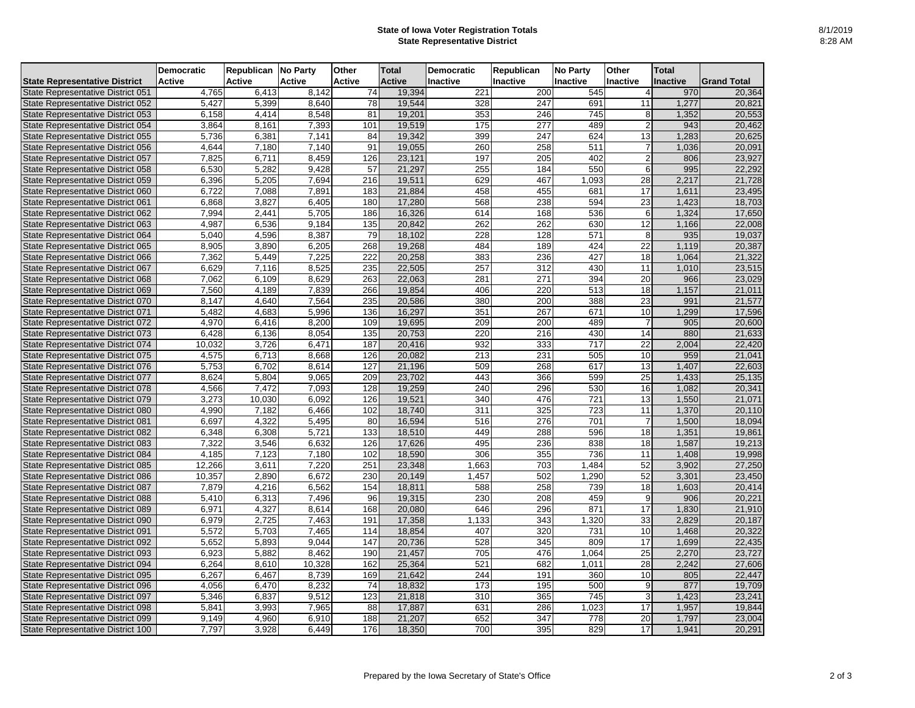## **State of Iowa Voter Registration Totals State Representative District**

|                                      | <b>Democratic</b> | Republican   No Party |                     | <b>Other</b>     | <b>Total</b>  | Democratic       | <b>Republican</b> | <b>No Party</b>  | <b>Other</b>    | <b>Total</b>    |                     |
|--------------------------------------|-------------------|-----------------------|---------------------|------------------|---------------|------------------|-------------------|------------------|-----------------|-----------------|---------------------|
| <b>State Representative District</b> | <b>Active</b>     | <b>Active</b>         | <b>Active</b>       | <b>Active</b>    | <b>Active</b> | <b>Inactive</b>  | <b>Inactive</b>   | <b>Inactive</b>  | Inactive        | <b>Inactive</b> | <b>IGrand Total</b> |
| State Representative District 051    | 4,765             | 6,413                 | 8,142               | 74               | 19,394        | $\overline{221}$ | 200               | 545              |                 | 970             | 20,364              |
| State Representative District 052    | 5,427             | 5,399                 | 8,640               | 78               | 19,544        | 328              | 247               | 691              | 11              | 1,277           | 20,821              |
| State Representative District 053    | 6,158             | 4,414                 | 8,548               | 81               | 19,201        | 353              | 246               | 745              | 8               | 1,352           | 20,553              |
| State Representative District 054    | 3,864             | 8,161                 | 7,393               | 101              | 19,519        | 175              | 277               | 489              |                 | 943             | 20,462              |
| State Representative District 055    | 5,736             | 6,381                 | 7,141               | 84               | 19,342        | 399              | 247               | 624              | 13              | ,283            | 20,625              |
| State Representative District 056    | 4,644             | 7,180                 | $\overline{7}, 140$ | 91               | 19,055        | 260              | 258               | 511              |                 | 0.036           | 20,091              |
| State Representative District 057    | 7,825             | 6,711                 | 8,459               | 126              | 23,121        | 197              | 205               | 402              |                 | 806             | 23,927              |
| State Representative District 058    | 6,530             | 5,282                 | 9,428               | 57               | 21,297        | 255              | 184               | 550              | 6               | 995             | 22,292              |
| State Representative District 059    | 6,396             | 5,205                 | 7,694               | 216              | 19,511        | 629              | 467               | 1,093            | 28              | 2,217           | 21,728              |
| State Representative District 060    | 6,722             | 7,088                 | 7,891               | 183              | 21,884        | 458              | 455               | 681              | 17              | 1,611           | 23,495              |
| State Representative District 061    | 6,868             | 3,827                 | 6,405               | 180              | 17,280        | 568              | 238               | 594              | 23              | 1,423           | 18,703              |
| State Representative District 062    | 7,994             | 2,441                 | 5,705               | 186              | 16,326        | 614              | 168               | 536              | 6               | 1,324           | 17,650              |
| State Representative District 063    | 4,987             | 6,536                 | 9,184               | 135              | 20,842        | 262              | 262               | 630              | 12              | 1,166           | 22,008              |
| State Representative District 064    | 5,040             | 4,596                 | 8,387               | 79               | 18,102        | 228              | 128               | 571              | 8               | 935             | 19,037              |
| State Representative District 065    | 8,905             | 3,890                 | 6,205               | 268              | 19,268        | 484              | 189               | 424              | 22              | 1,119           | 20,387              |
| State Representative District 066    | 7,362             | 5,449                 | 7,225               | $\overline{222}$ | 20,258        | 383              | 236               | 427              | 18              | 1,064           | 21,322              |
| State Representative District 067    | 6,629             | 7,116                 | 8,525               | 235              | 22,505        | 257              | 312               | 430              | 11              | 1,010           | 23,515              |
| State Representative District 068    | 7,062             | 6,109                 | 8,629               | 263              | 22,063        | 281              | 271               | 394              | 20              | 966             | 23,029              |
| State Representative District 069    | 7,560             | 4,189                 | 7,839               | 266              | 19,854        | 406              | 220               | $\overline{513}$ | 18              | 1,157           | 21,011              |
| State Representative District 070    | 8,147             | 4,640                 | 7,564               | 235              | 20,586        | 380              | 200               | 388              | 23              | 991             | 21,577              |
| State Representative District 071    | 5,482             | 4,683                 | 5,996               | 136              | 16,297        | 351              | 267               | 671              | 10              | ,299            | 17,596              |
| State Representative District 072    | 4,970             | 6,416                 | 8,200               | 109              | 19,695        | 209              | 200               | 489              |                 | 905             | 20,600              |
| State Representative District 073    | 6,428             | 6,136                 | 8,054               | 135              | 20,753        | 220              | 216               | 430              | 14              | 880             | 21,633              |
| State Representative District 074    | 10,032            | 3,726                 | 6,471               | 187              | 20,416        | 932              | 333               | 717              | 22              | 2,004           | 22,420              |
| State Representative District 075    | 4,575             | 6,713                 | 8,668               | 126              | 20,082        | 213              | 231               | 505              | 10              | 959             | 21,041              |
| State Representative District 076    | 5,753             | 6,702                 | 8,614               | 127              | 21,196        | 509              | 268               | 617              | 13              | 1,407           | 22,603              |
| State Representative District 077    | 8,624             | 5,804                 | 9,065               | 209              | 23,702        | 443              | 366               | 599              | 25              | 1,433           | 25,135              |
| State Representative District 078    | 4,566             | 7,472                 | 7,093               | 128              | 19,259        | 240              | 296               | 530              | 16              | 1,082           | 20,341              |
| State Representative District 079    | 3,273             | 10,030                | 6,092               | 126              | 19,521        | 340              | 476               | $\overline{721}$ | $\overline{13}$ | 1,550           | 21,071              |
| State Representative District 080    | 4,990             | 7,182                 | 6,466               | 102              | 18,740        | 311              | 325               | 723              | 11              | 1,370           | 20,110              |
| State Representative District 081    | 6,697             | 4,322                 | 5,495               | 80               | 16,594        | 516              | 276               | 701              |                 | 1,500           | 18,094              |
| State Representative District 082    | 6,348             | 6,308                 | 5,721               | 133              | 18,510        | 449              | 288               | 596              | 18              | 1,351           | 19,861              |
| State Representative District 083    | 7,322             | 3,546                 | 6,632               | 126              | 17,626        | 495              | 236               | 838              | 18              | 1,587           | 19,213              |
| State Representative District 084    | 4,185             | 7,123                 | 7,180               | 102              | 18,590        | 306              | 355               | 736              | 11              | 1,408           | 19,998              |
| State Representative District 085    | 12,266            | 3,611                 | 7,220               | 251              | 23,348        | 1,663            | 703               | 1,484            | 52              | 3,902           | 27,250              |
| State Representative District 086    | 10,357            | 2,890                 | 6,672               | 230              | 20,149        | 1,457            | 502               | 1,290            | 52              | 3,301           | 23,450              |
| State Representative District 087    | 7,879             | 4,216                 | 6,562               | 154              | 18,811        | 588              | 258               | 739              | 18              | 1,603           | 20,414              |
| State Representative District 088    | 5,410             | 6,313                 | 7,496               | 96               | 19,315        | 230              | 208               | 459              | 9               | 906             | 20,221              |
| State Representative District 089    | 6,971             | 4,327                 | 8,614               | 168              | 20,080        | 646              | 296               | 871              | 17              | 1,830           | 21,910              |
| State Representative District 090    | 6,979             | 2,725                 | 7,463               | 191              | 17,358        | 1,133            | 343               | ,320             | 33              | 2,829           | 20,187              |
| State Representative District 091    | 5,572             | 5,703                 | 7,465               | 114              | 18,854        | 407              | 320               | 731              | 10              | 1,468           | 20,322              |
| State Representative District 092    | 5,652             | 5,893                 | 9,044               | 147              | 20,736        | 528              | 345               | 809              | 17              | 1,699           | 22,435              |
| State Representative District 093    | 6,923             | 5,882                 | 8,462               | 190              | 21,457        | 705              | 476               | ,064             | 25              | 2,270           | 23,727              |
| State Representative District 094    | 6,264             | 8,610                 | 10,328              | 162              | 25,364        | 521              | 682               | 1,011            | $\overline{28}$ | 2,242           | 27,606              |
| State Representative District 095    | 6,267             | 6,467                 | 8,739               | 169              | 21,642        | 244              | 191               | 360              | 10              | 805             | 22,447              |
| State Representative District 096    | 4,056             | 6,470                 | 8,232               | 74               | 18,832        | 173              | 195               | 500              | 9               | 877             | 19,709              |
| State Representative District 097    | 5,346             | 6,837                 | 9,512               | 123              | 21,818        | 310              | 365               | 745              | 3               | 1,423           | 23,241              |
| State Representative District 098    | 5,841             | 3,993                 | 7,965               | 88               | 17,887        | 631              | 286               | 1,023            | 17              | 1,957           | 19,844              |
| State Representative District 099    | 9,149             | 4,960                 | 6,910               | 188              | 21,207        | 652              | 347               | 778              | 20              | 1,797           | 23,004              |
| State Representative District 100    | 7,797             | 3,928                 | 6,449               | <b>176</b>       | 18,350        | 700              | 395               | 829              | 17              | 1,941           | 20,291              |